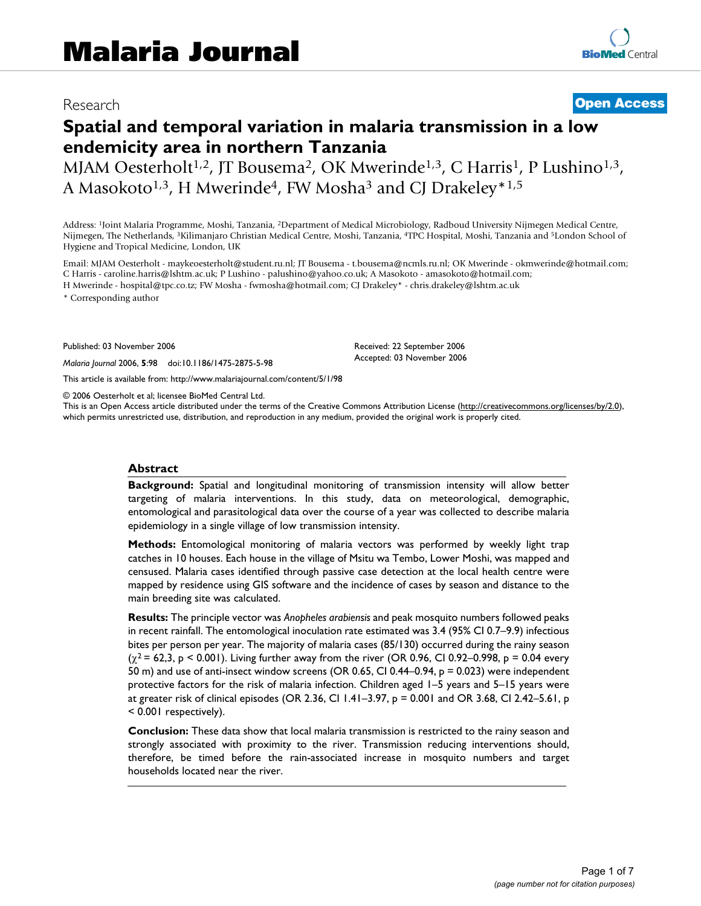# Research **[Open Access](http://www.biomedcentral.com/info/about/charter/)**

# **Spatial and temporal variation in malaria transmission in a low endemicity area in northern Tanzania**

MJAM Oesterholt<sup>1,2</sup>, JT Bousema<sup>2</sup>, OK Mwerinde<sup>1,3</sup>, C Harris<sup>1</sup>, P Lushino<sup>1,3</sup>, A Masokoto<sup>1,3</sup>, H Mwerinde<sup>4</sup>, FW Mosha<sup>3</sup> and CJ Drakeley<sup>\*1,5</sup>

Address: 1Joint Malaria Programme, Moshi, Tanzania, 2Department of Medical Microbiology, Radboud University Nijmegen Medical Centre, Nijmegen, The Netherlands, 3Kilimanjaro Christian Medical Centre, Moshi, Tanzania, 4TPC Hospital, Moshi, Tanzania and 5London School of Hygiene and Tropical Medicine, London, UK

Email: MJAM Oesterholt - maykeoesterholt@student.ru.nl; JT Bousema - t.bousema@ncmls.ru.nl; OK Mwerinde - okmwerinde@hotmail.com; C Harris - caroline.harris@lshtm.ac.uk; P Lushino - palushino@yahoo.co.uk; A Masokoto - amasokoto@hotmail.com;

H Mwerinde - hospital@tpc.co.tz; FW Mosha - fwmosha@hotmail.com; CJ Drakeley\* - chris.drakeley@lshtm.ac.uk

\* Corresponding author

Published: 03 November 2006

*Malaria Journal* 2006, **5**:98 doi:10.1186/1475-2875-5-98

[This article is available from: http://www.malariajournal.com/content/5/1/98](http://www.malariajournal.com/content/5/1/98)

© 2006 Oesterholt et al; licensee BioMed Central Ltd.

This is an Open Access article distributed under the terms of the Creative Commons Attribution License [\(http://creativecommons.org/licenses/by/2.0\)](http://creativecommons.org/licenses/by/2.0), which permits unrestricted use, distribution, and reproduction in any medium, provided the original work is properly cited.

Received: 22 September 2006 Accepted: 03 November 2006

#### **Abstract**

**Background:** Spatial and longitudinal monitoring of transmission intensity will allow better targeting of malaria interventions. In this study, data on meteorological, demographic, entomological and parasitological data over the course of a year was collected to describe malaria epidemiology in a single village of low transmission intensity.

**Methods:** Entomological monitoring of malaria vectors was performed by weekly light trap catches in 10 houses. Each house in the village of Msitu wa Tembo, Lower Moshi, was mapped and censused. Malaria cases identified through passive case detection at the local health centre were mapped by residence using GIS software and the incidence of cases by season and distance to the main breeding site was calculated.

**Results:** The principle vector was *Anopheles arabiensis* and peak mosquito numbers followed peaks in recent rainfall. The entomological inoculation rate estimated was 3.4 (95% CI 0.7–9.9) infectious bites per person per year. The majority of malaria cases (85/130) occurred during the rainy season  $(\chi^2 = 62, 3, p \le 0.001)$ . Living further away from the river (OR 0.96, CI 0.92–0.998, p = 0.04 every 50 m) and use of anti-insect window screens (OR 0.65, CI 0.44–0.94, p = 0.023) were independent protective factors for the risk of malaria infection. Children aged 1–5 years and 5–15 years were at greater risk of clinical episodes (OR 2.36, CI 1.41–3.97, p = 0.001 and OR 3.68, CI 2.42–5.61, p < 0.001 respectively).

**Conclusion:** These data show that local malaria transmission is restricted to the rainy season and strongly associated with proximity to the river. Transmission reducing interventions should, therefore, be timed before the rain-associated increase in mosquito numbers and target households located near the river.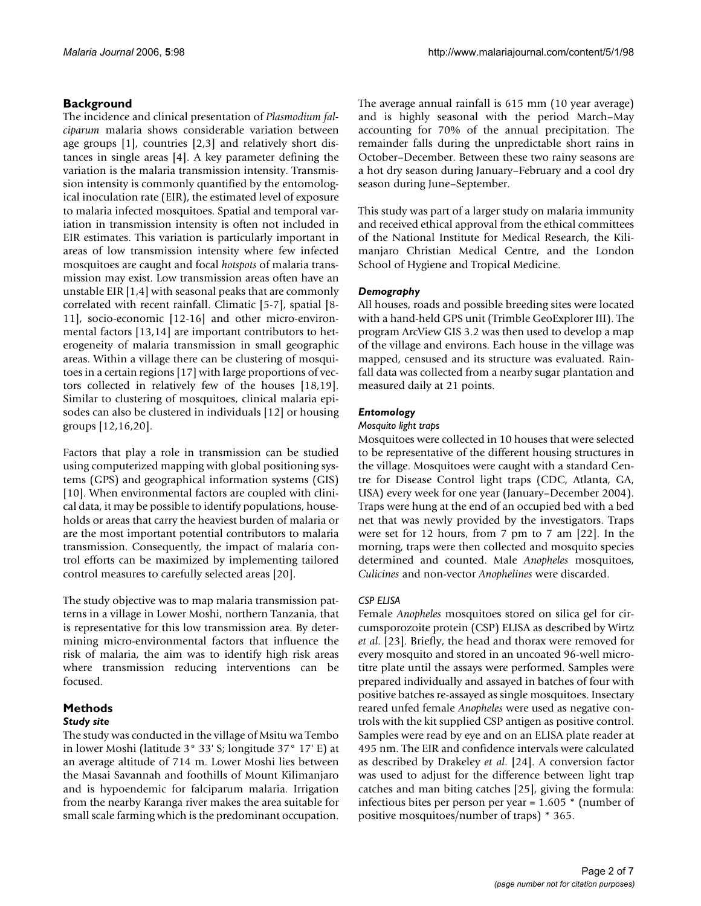# **Background**

The incidence and clinical presentation of *Plasmodium falciparum* malaria shows considerable variation between age groups [1], countries [2[,3\]](#page-5-0) and relatively short distances in single areas [4]. A key parameter defining the variation is the malaria transmission intensity. Transmission intensity is commonly quantified by the entomological inoculation rate (EIR), the estimated level of exposure to malaria infected mosquitoes. Spatial and temporal variation in transmission intensity is often not included in EIR estimates. This variation is particularly important in areas of low transmission intensity where few infected mosquitoes are caught and focal *hotspots* of malaria transmission may exist. Low transmission areas often have an unstable EIR [1,4] with seasonal peaks that are commonly correlated with recent rainfall. Climatic [5-[7\]](#page-5-1), spatial [8- 11], socio-economic [12-16] and other micro-environmental factors [13,14] are important contributors to heterogeneity of malaria transmission in small geographic areas. Within a village there can be clustering of mosquitoes in a certain regions [17] with large proportions of vectors collected in relatively few of the houses [18[,19](#page-6-0)]. Similar to clustering of mosquitoes, clinical malaria episodes can also be clustered in individuals [12] or housing groups [12,16,20].

Factors that play a role in transmission can be studied using computerized mapping with global positioning systems (GPS) and geographical information systems (GIS) [10]. When environmental factors are coupled with clinical data, it may be possible to identify populations, households or areas that carry the heaviest burden of malaria or are the most important potential contributors to malaria transmission. Consequently, the impact of malaria control efforts can be maximized by implementing tailored control measures to carefully selected areas [20].

The study objective was to map malaria transmission patterns in a village in Lower Moshi, northern Tanzania, that is representative for this low transmission area. By determining micro-environmental factors that influence the risk of malaria, the aim was to identify high risk areas where transmission reducing interventions can be focused.

#### **Methods** *Study site*

The study was conducted in the village of Msitu wa Tembo in lower Moshi (latitude 3° 33' S; longitude 37° 17' E) at an average altitude of 714 m. Lower Moshi lies between the Masai Savannah and foothills of Mount Kilimanjaro and is hypoendemic for falciparum malaria. Irrigation from the nearby Karanga river makes the area suitable for small scale farming which is the predominant occupation. The average annual rainfall is 615 mm (10 year average) and is highly seasonal with the period March–May accounting for 70% of the annual precipitation. The remainder falls during the unpredictable short rains in October–December. Between these two rainy seasons are a hot dry season during January–February and a cool dry season during June–September.

This study was part of a larger study on malaria immunity and received ethical approval from the ethical committees of the National Institute for Medical Research, the Kilimanjaro Christian Medical Centre, and the London School of Hygiene and Tropical Medicine.

### *Demography*

All houses, roads and possible breeding sites were located with a hand-held GPS unit (Trimble GeoExplorer III). The program ArcView GIS 3.2 was then used to develop a map of the village and environs. Each house in the village was mapped, censused and its structure was evaluated. Rainfall data was collected from a nearby sugar plantation and measured daily at 21 points.

### *Entomology*

#### *Mosquito light traps*

Mosquitoes were collected in 10 houses that were selected to be representative of the different housing structures in the village. Mosquitoes were caught with a standard Centre for Disease Control light traps (CDC, Atlanta, GA, USA) every week for one year (January–December 2004). Traps were hung at the end of an occupied bed with a bed net that was newly provided by the investigators. Traps were set for 12 hours, from 7 pm to 7 am [\[22](#page-6-1)]. In the morning, traps were then collected and mosquito species determined and counted. Male *Anopheles* mosquitoes, *Culicines* and non-vector *Anophelines* were discarded.

## *CSP ELISA*

Female *Anopheles* mosquitoes stored on silica gel for circumsporozoite protein (CSP) ELISA as described by Wirtz *et al*. [\[23\]](#page-6-2). Briefly, the head and thorax were removed for every mosquito and stored in an uncoated 96-well microtitre plate until the assays were performed. Samples were prepared individually and assayed in batches of four with positive batches re-assayed as single mosquitoes. Insectary reared unfed female *Anopheles* were used as negative controls with the kit supplied CSP antigen as positive control. Samples were read by eye and on an ELISA plate reader at 495 nm. The EIR and confidence intervals were calculated as described by Drakeley *et al*. [24]. A conversion factor was used to adjust for the difference between light trap catches and man biting catches [25], giving the formula: infectious bites per person per year = 1.605 \* (number of positive mosquitoes/number of traps) \* 365.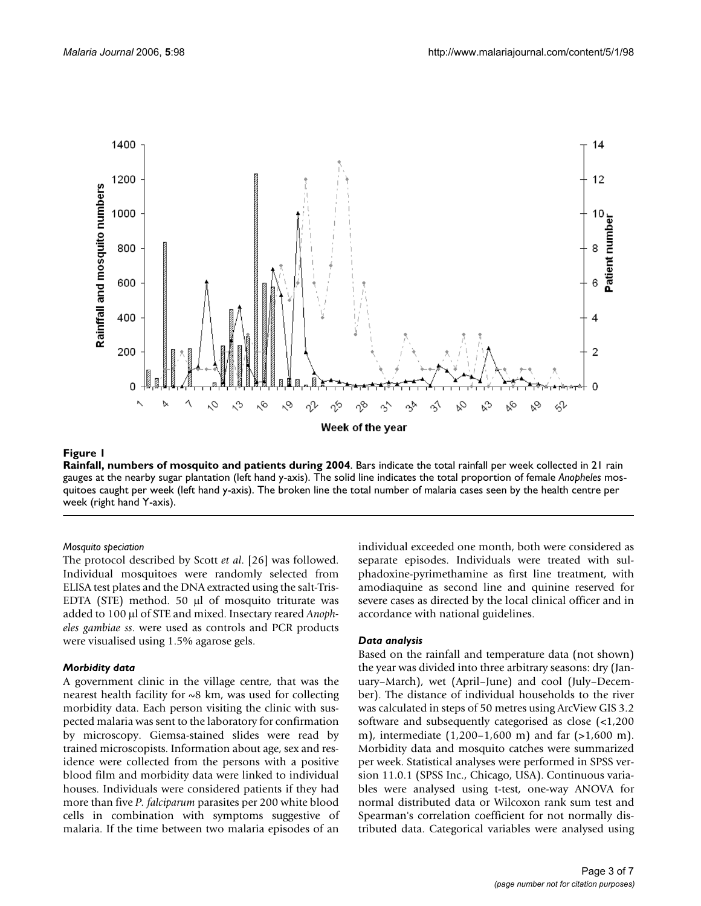

#### **Figure 1**

**Rainfall, numbers of mosquito and patients during 2004**. Bars indicate the total rainfall per week collected in 21 rain gauges at the nearby sugar plantation (left hand y-axis). The solid line indicates the total proportion of female *Anopheles* mosquitoes caught per week (left hand y-axis). The broken line the total number of malaria cases seen by the health centre per week (right hand Y-axis).

#### *Mosquito speciation*

The protocol described by Scott *et al*. [[26\]](#page-6-3) was followed. Individual mosquitoes were randomly selected from ELISA test plates and the DNA extracted using the salt-Tris-EDTA (STE) method. 50 µl of mosquito triturate was added to 100 µl of STE and mixed. Insectary reared *Anopheles gambiae ss*. were used as controls and PCR products were visualised using 1.5% agarose gels.

#### *Morbidity data*

A government clinic in the village centre, that was the nearest health facility for  $~8$  km, was used for collecting morbidity data. Each person visiting the clinic with suspected malaria was sent to the laboratory for confirmation by microscopy. Giemsa-stained slides were read by trained microscopists. Information about age, sex and residence were collected from the persons with a positive blood film and morbidity data were linked to individual houses. Individuals were considered patients if they had more than five *P. falciparum* parasites per 200 white blood cells in combination with symptoms suggestive of malaria. If the time between two malaria episodes of an individual exceeded one month, both were considered as separate episodes. Individuals were treated with sulphadoxine-pyrimethamine as first line treatment, with amodiaquine as second line and quinine reserved for severe cases as directed by the local clinical officer and in accordance with national guidelines.

#### *Data analysis*

Based on the rainfall and temperature data (not shown) the year was divided into three arbitrary seasons: dry (January–March), wet (April–June) and cool (July–December). The distance of individual households to the river was calculated in steps of 50 metres using ArcView GIS 3.2 software and subsequently categorised as close (<1,200 m), intermediate (1,200–1,600 m) and far (>1,600 m). Morbidity data and mosquito catches were summarized per week. Statistical analyses were performed in SPSS version 11.0.1 (SPSS Inc., Chicago, USA). Continuous variables were analysed using t-test, one-way ANOVA for normal distributed data or Wilcoxon rank sum test and Spearman's correlation coefficient for not normally distributed data. Categorical variables were analysed using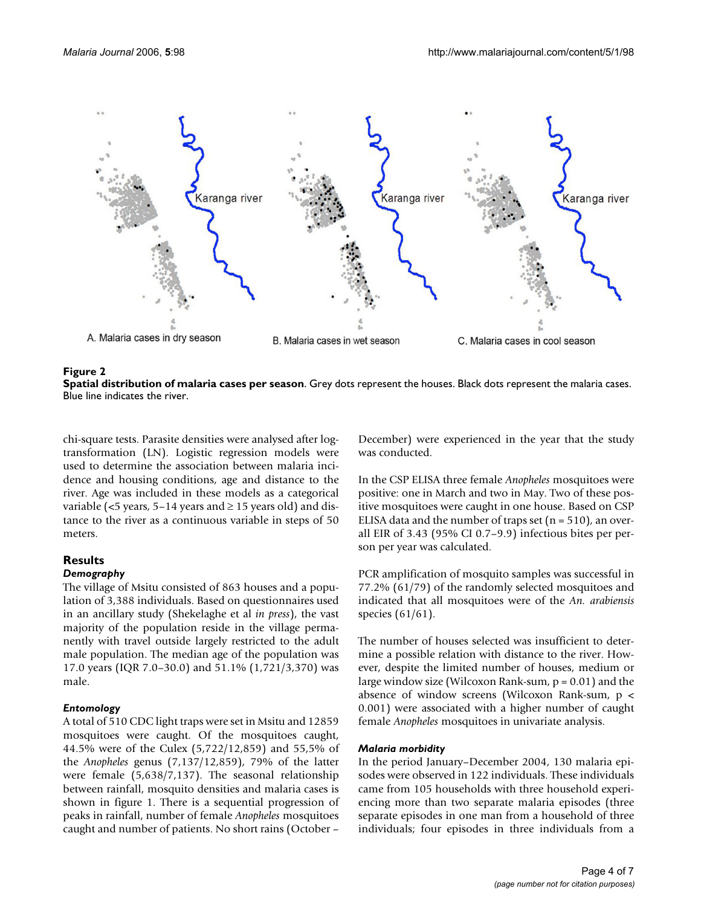

#### **Figure 2**



chi-square tests. Parasite densities were analysed after logtransformation (LN). Logistic regression models were used to determine the association between malaria incidence and housing conditions, age and distance to the river. Age was included in these models as a categorical variable (<5 years, 5–14 years and  $\geq$  15 years old) and distance to the river as a continuous variable in steps of 50 meters.

#### **Results**

#### *Demography*

The village of Msitu consisted of 863 houses and a population of 3,388 individuals. Based on questionnaires used in an ancillary study (Shekelaghe et al *in press*), the vast majority of the population reside in the village permanently with travel outside largely restricted to the adult male population. The median age of the population was 17.0 years (IQR 7.0–30.0) and 51.1% (1,721/3,370) was male.

#### *Entomology*

A total of 510 CDC light traps were set in Msitu and 12859 mosquitoes were caught. Of the mosquitoes caught, 44.5% were of the Culex (5,722/12,859) and 55,5% of the *Anopheles* genus (7,137/12,859), 79% of the latter were female (5,638/7,137). The seasonal relationship between rainfall, mosquito densities and malaria cases is shown in figure 1. There is a sequential progression of peaks in rainfall, number of female *Anopheles* mosquitoes caught and number of patients. No short rains (October –

December) were experienced in the year that the study was conducted.

In the CSP ELISA three female *Anopheles* mosquitoes were positive: one in March and two in May. Two of these positive mosquitoes were caught in one house. Based on CSP ELISA data and the number of traps set  $(n = 510)$ , an overall EIR of 3.43 (95% CI 0.7–9.9) infectious bites per person per year was calculated.

PCR amplification of mosquito samples was successful in 77.2% (61/79) of the randomly selected mosquitoes and indicated that all mosquitoes were of the *An. arabiensis* species (61/61).

The number of houses selected was insufficient to determine a possible relation with distance to the river. However, despite the limited number of houses, medium or large window size (Wilcoxon Rank-sum,  $p = 0.01$ ) and the absence of window screens (Wilcoxon Rank-sum, p < 0.001) were associated with a higher number of caught female *Anopheles* mosquitoes in univariate analysis.

#### *Malaria morbidity*

In the period January–December 2004, 130 malaria episodes were observed in 122 individuals. These individuals came from 105 households with three household experiencing more than two separate malaria episodes (three separate episodes in one man from a household of three individuals; four episodes in three individuals from a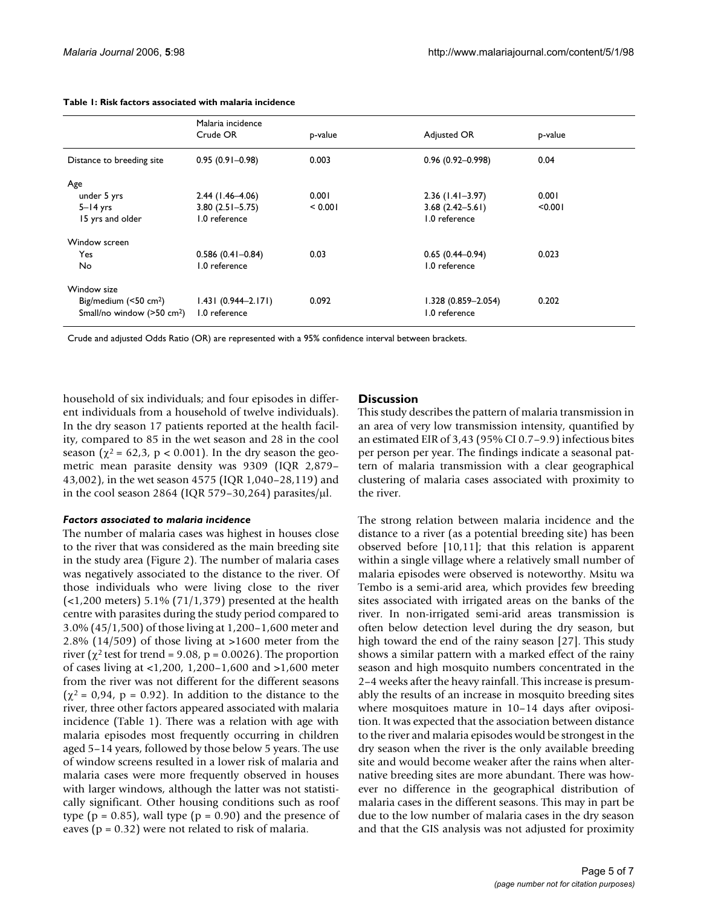|                                          | Malaria incidence<br>Crude OR | p-value | Adjusted OR            | p-value |
|------------------------------------------|-------------------------------|---------|------------------------|---------|
| Distance to breeding site                | $0.95(0.91 - 0.98)$           | 0.003   | $0.96(0.92 - 0.998)$   | 0.04    |
| Age                                      |                               |         |                        |         |
| under 5 yrs                              | $2.44$ (1.46-4.06)            | 0.001   | $2.36(1.41-3.97)$      | 0.001   |
| $5 - 14$ yrs                             | $3.80(2.51 - 5.75)$           | < 0.001 | $3.68(2.42 - 5.61)$    | < 0.001 |
| 15 yrs and older                         | 1.0 reference                 |         | 1.0 reference          |         |
| Window screen                            |                               |         |                        |         |
| Yes                                      | $0.586(0.41 - 0.84)$          | 0.03    | $0.65(0.44 - 0.94)$    | 0.023   |
| <b>No</b>                                | 1.0 reference                 |         | 1.0 reference          |         |
| Window size                              |                               |         |                        |         |
| Big/medium $(50 \text{ cm}^2)$           | $1.431(0.944 - 2.171)$        | 0.092   | $1.328(0.859 - 2.054)$ | 0.202   |
| Small/no window $(>50$ cm <sup>2</sup> ) | 1.0 reference                 |         | 1.0 reference          |         |

#### **Table 1: Risk factors associated with malaria incidence**

Crude and adjusted Odds Ratio (OR) are represented with a 95% confidence interval between brackets.

household of six individuals; and four episodes in different individuals from a household of twelve individuals). In the dry season 17 patients reported at the health facility, compared to 85 in the wet season and 28 in the cool season ( $\chi^2$  = 62,3, p < 0.001). In the dry season the geometric mean parasite density was 9309 (IQR 2,879– 43,002), in the wet season 4575 (IQR 1,040–28,119) and in the cool season 2864 (IQR 579-30,264) parasites/ $\mu$ l.

#### *Factors associated to malaria incidence*

The number of malaria cases was highest in houses close to the river that was considered as the main breeding site in the study area (Figure 2). The number of malaria cases was negatively associated to the distance to the river. Of those individuals who were living close to the river  $\left($  <1,200 meters) 5.1% (71/1,379) presented at the health centre with parasites during the study period compared to 3.0% (45/1,500) of those living at 1,200–1,600 meter and 2.8% (14/509) of those living at >1600 meter from the river ( $\chi^2$  test for trend = 9.08, p = 0.0026). The proportion of cases living at <1,200, 1,200–1,600 and >1,600 meter from the river was not different for the different seasons  $(\chi^2 = 0.94, p = 0.92)$ . In addition to the distance to the river, three other factors appeared associated with malaria incidence (Table 1). There was a relation with age with malaria episodes most frequently occurring in children aged 5–14 years, followed by those below 5 years. The use of window screens resulted in a lower risk of malaria and malaria cases were more frequently observed in houses with larger windows, although the latter was not statistically significant. Other housing conditions such as roof type ( $p = 0.85$ ), wall type ( $p = 0.90$ ) and the presence of eaves ( $p = 0.32$ ) were not related to risk of malaria.

#### **Discussion**

This study describes the pattern of malaria transmission in an area of very low transmission intensity, quantified by an estimated EIR of 3,43 (95% CI 0.7–9.9) infectious bites per person per year. The findings indicate a seasonal pattern of malaria transmission with a clear geographical clustering of malaria cases associated with proximity to the river.

The strong relation between malaria incidence and the distance to a river (as a potential breeding site) has been observed before [10,11]; that this relation is apparent within a single village where a relatively small number of malaria episodes were observed is noteworthy. Msitu wa Tembo is a semi-arid area, which provides few breeding sites associated with irrigated areas on the banks of the river. In non-irrigated semi-arid areas transmission is often below detection level during the dry season, but high toward the end of the rainy season [27]. This study shows a similar pattern with a marked effect of the rainy season and high mosquito numbers concentrated in the 2–4 weeks after the heavy rainfall. This increase is presumably the results of an increase in mosquito breeding sites where mosquitoes mature in 10–14 days after oviposition. It was expected that the association between distance to the river and malaria episodes would be strongest in the dry season when the river is the only available breeding site and would become weaker after the rains when alternative breeding sites are more abundant. There was however no difference in the geographical distribution of malaria cases in the different seasons. This may in part be due to the low number of malaria cases in the dry season and that the GIS analysis was not adjusted for proximity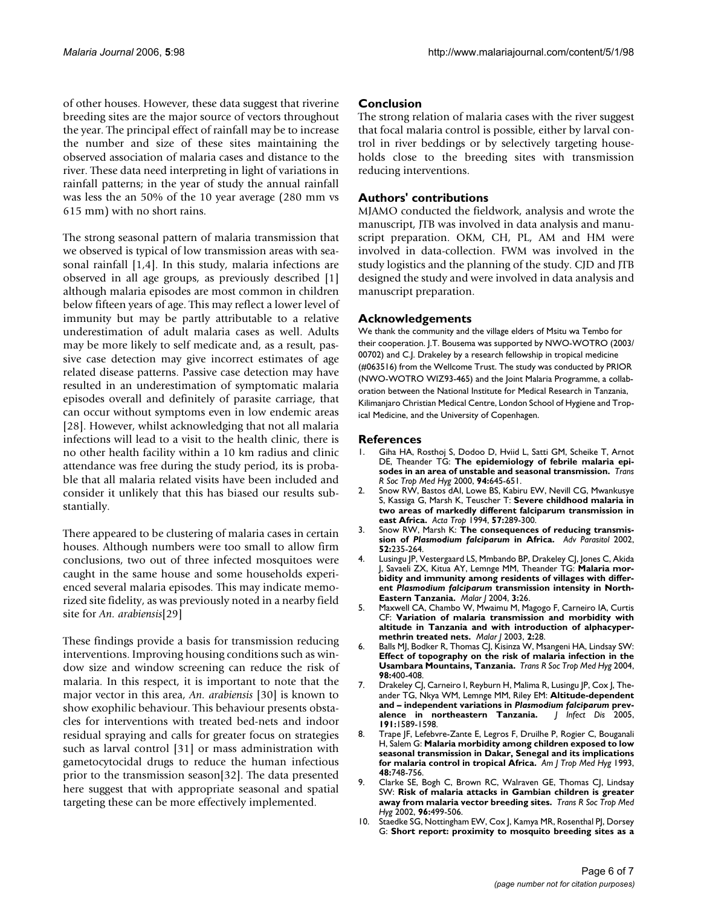of other houses. However, these data suggest that riverine breeding sites are the major source of vectors throughout the year. The principal effect of rainfall may be to increase the number and size of these sites maintaining the observed association of malaria cases and distance to the river. These data need interpreting in light of variations in rainfall patterns; in the year of study the annual rainfall was less the an 50% of the 10 year average (280 mm vs 615 mm) with no short rains.

The strong seasonal pattern of malaria transmission that we observed is typical of low transmission areas with seasonal rainfall [1,4]. In this study, malaria infections are observed in all age groups, as previously described [1] although malaria episodes are most common in children below fifteen years of age. This may reflect a lower level of immunity but may be partly attributable to a relative underestimation of adult malaria cases as well. Adults may be more likely to self medicate and, as a result, passive case detection may give incorrect estimates of age related disease patterns. Passive case detection may have resulted in an underestimation of symptomatic malaria episodes overall and definitely of parasite carriage, that can occur without symptoms even in low endemic areas [28]. However, whilst acknowledging that not all malaria infections will lead to a visit to the health clinic, there is no other health facility within a 10 km radius and clinic attendance was free during the study period, its is probable that all malaria related visits have been included and consider it unlikely that this has biased our results substantially.

There appeared to be clustering of malaria cases in certain houses. Although numbers were too small to allow firm conclusions, two out of three infected mosquitoes were caught in the same house and some households experienced several malaria episodes. This may indicate memorized site fidelity, as was previously noted in a nearby field site for *An. arabiensis*[29]

These findings provide a basis for transmission reducing interventions. Improving housing conditions such as window size and window screening can reduce the risk of malaria. In this respect, it is important to note that the major vector in this area, *An. arabiensis* [30] is known to show exophilic behaviour. This behaviour presents obstacles for interventions with treated bed-nets and indoor residual spraying and calls for greater focus on strategies such as larval control [31] or mass administration with gametocytocidal drugs to reduce the human infectious prior to the transmission season[32]. The data presented here suggest that with appropriate seasonal and spatial targeting these can be more effectively implemented.

#### **Conclusion**

The strong relation of malaria cases with the river suggest that focal malaria control is possible, either by larval control in river beddings or by selectively targeting households close to the breeding sites with transmission reducing interventions.

#### **Authors' contributions**

MJAMO conducted the fieldwork, analysis and wrote the manuscript, JTB was involved in data analysis and manuscript preparation. OKM, CH, PL, AM and HM were involved in data-collection. FWM was involved in the study logistics and the planning of the study. CJD and JTB designed the study and were involved in data analysis and manuscript preparation.

#### **Acknowledgements**

We thank the community and the village elders of Msitu wa Tembo for their cooperation. J.T. Bousema was supported by NWO-WOTRO (2003/ 00702) and C.J. Drakeley by a research fellowship in tropical medicine (#063516) from the Wellcome Trust. The study was conducted by PRIOR (NWO-WOTRO WIZ93-465) and the Joint Malaria Programme, a collaboration between the National Institute for Medical Research in Tanzania, Kilimanjaro Christian Medical Centre, London School of Hygiene and Tropical Medicine, and the University of Copenhagen.

#### **References**

- 1. Giha HA, Rosthoj S, Dodoo D, Hviid L, Satti GM, Scheike T, Arnot DE, Theander TG: **[The epidemiology of febrile malaria epi](http://www.ncbi.nlm.nih.gov/entrez/query.fcgi?cmd=Retrieve&db=PubMed&dopt=Abstract&list_uids=11198648)[sodes in an area of unstable and seasonal transmission.](http://www.ncbi.nlm.nih.gov/entrez/query.fcgi?cmd=Retrieve&db=PubMed&dopt=Abstract&list_uids=11198648)** *Trans R Soc Trop Med Hyg* 2000, **94:**645-651.
- 2. Snow RW, Bastos dAI, Lowe BS, Kabiru EW, Nevill CG, Mwankusye S, Kassiga G, Marsh K, Teuscher T: **[Severe childhood malaria in](http://www.ncbi.nlm.nih.gov/entrez/query.fcgi?cmd=Retrieve&db=PubMed&dopt=Abstract&list_uids=7810385) [two areas of markedly different falciparum transmission in](http://www.ncbi.nlm.nih.gov/entrez/query.fcgi?cmd=Retrieve&db=PubMed&dopt=Abstract&list_uids=7810385) [east Africa.](http://www.ncbi.nlm.nih.gov/entrez/query.fcgi?cmd=Retrieve&db=PubMed&dopt=Abstract&list_uids=7810385)** *Acta Trop* 1994, **57:**289-300.
- <span id="page-5-0"></span>3. Snow RW, Marsh K: **The consequences of reducing transmission of** *Plasmodium falciparum* **[in Africa.](http://www.ncbi.nlm.nih.gov/entrez/query.fcgi?cmd=Retrieve&db=PubMed&dopt=Abstract&list_uids=12521262)** *Adv Parasitol* 2002, **52:**235-264.
- 4. Lusingu JP, Vestergaard LS, Mmbando BP, Drakeley CJ, Jones C, Akida J, Savaeli ZX, Kitua AY, Lemnge MM, Theander TG: **Malaria morbidity and immunity among residents of villages with different** *Plasmodium falciparum* **[transmission intensity in North-](http://www.ncbi.nlm.nih.gov/entrez/query.fcgi?cmd=Retrieve&db=PubMed&dopt=Abstract&list_uids=15282030)[Eastern Tanzania.](http://www.ncbi.nlm.nih.gov/entrez/query.fcgi?cmd=Retrieve&db=PubMed&dopt=Abstract&list_uids=15282030)** *Malar J* 2004, **3:**26.
- 5. Maxwell CA, Chambo W, Mwaimu M, Magogo F, Carneiro IA, Curtis CF: **[Variation of malaria transmission and morbidity with](http://www.ncbi.nlm.nih.gov/entrez/query.fcgi?cmd=Retrieve&db=PubMed&dopt=Abstract&list_uids=14585106) [altitude in Tanzania and with introduction of alphacyper](http://www.ncbi.nlm.nih.gov/entrez/query.fcgi?cmd=Retrieve&db=PubMed&dopt=Abstract&list_uids=14585106)[methrin treated nets.](http://www.ncbi.nlm.nih.gov/entrez/query.fcgi?cmd=Retrieve&db=PubMed&dopt=Abstract&list_uids=14585106)** *Malar J* 2003, **2:**28.
- 6. Balls MJ, Bodker R, Thomas CJ, Kisinza W, Msangeni HA, Lindsay SW: **[Effect of topography on the risk of malaria infection in the](http://www.ncbi.nlm.nih.gov/entrez/query.fcgi?cmd=Retrieve&db=PubMed&dopt=Abstract&list_uids=15138076) [Usambara Mountains, Tanzania.](http://www.ncbi.nlm.nih.gov/entrez/query.fcgi?cmd=Retrieve&db=PubMed&dopt=Abstract&list_uids=15138076)** *Trans R Soc Trop Med Hyg* 2004, **98:**400-408.
- <span id="page-5-1"></span>7. Drakeley CJ, Carneiro I, Reyburn H, Malima R, Lusingu JP, Cox J, Theander TG, Nkya WM, Lemnge MM, Riley EM: **Altitude-dependent and – independent variations in** *Plasmodium falciparum* **[prev](http://www.ncbi.nlm.nih.gov/entrez/query.fcgi?cmd=Retrieve&db=PubMed&dopt=Abstract&list_uids=15838785)**[alence in northeastern Tanzania.](http://www.ncbi.nlm.nih.gov/entrez/query.fcgi?cmd=Retrieve&db=PubMed&dopt=Abstract&list_uids=15838785) **191:**1589-1598.
- 8. Trape JF, Lefebvre-Zante E, Legros F, Druilhe P, Rogier C, Bouganali H, Salem G: **[Malaria morbidity among children exposed to low](http://www.ncbi.nlm.nih.gov/entrez/query.fcgi?cmd=Retrieve&db=PubMed&dopt=Abstract&list_uids=8333568) [seasonal transmission in Dakar, Senegal and its implications](http://www.ncbi.nlm.nih.gov/entrez/query.fcgi?cmd=Retrieve&db=PubMed&dopt=Abstract&list_uids=8333568) [for malaria control in tropical Africa.](http://www.ncbi.nlm.nih.gov/entrez/query.fcgi?cmd=Retrieve&db=PubMed&dopt=Abstract&list_uids=8333568)** *Am J Trop Med Hyg* 1993, **48:**748-756.
- 9. Clarke SE, Bogh C, Brown RC, Walraven GE, Thomas CJ, Lindsay SW: **[Risk of malaria attacks in Gambian children is greater](http://www.ncbi.nlm.nih.gov/entrez/query.fcgi?cmd=Retrieve&db=PubMed&dopt=Abstract&list_uids=12474476) [away from malaria vector breeding sites.](http://www.ncbi.nlm.nih.gov/entrez/query.fcgi?cmd=Retrieve&db=PubMed&dopt=Abstract&list_uids=12474476)** *Trans R Soc Trop Med Hyg* 2002, **96:**499-506.
- 10. Staedke SG, Nottingham EW, Cox J, Kamya MR, Rosenthal PJ, Dorsey G: **[Short report: proximity to mosquito breeding sites as a](http://www.ncbi.nlm.nih.gov/entrez/query.fcgi?cmd=Retrieve&db=PubMed&dopt=Abstract&list_uids=14628938)**